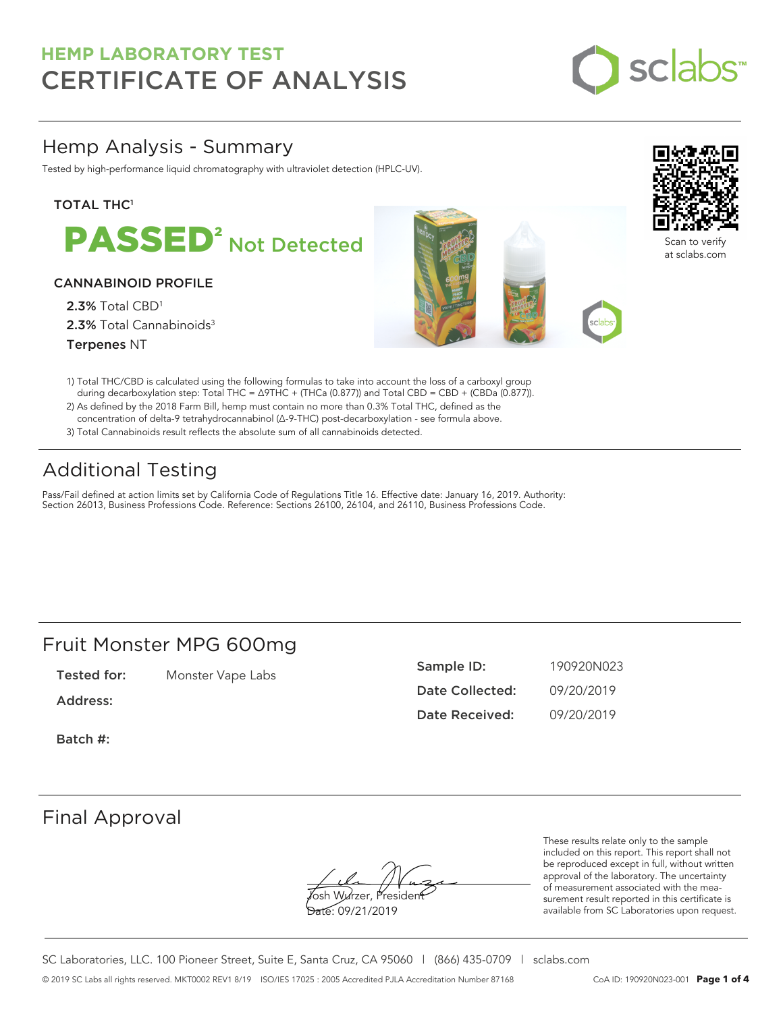

### Hemp Analysis - Summary

Tested by high-performance liquid chromatography with ultraviolet detection (HPLC-UV).

### **TOTAL THC1**



### CANNABINOID PROFILE

2.3% Total CBD<sup>1</sup> 2.3% Total Cannabinoids<sup>3</sup> Terpenes NT





Scan to verify at sclabs.com

- 1) Total THC/CBD is calculated using the following formulas to take into account the loss of a carboxyl group during decarboxylation step: Total THC = ∆9THC + (THCa (0.877)) and Total CBD = CBD + (CBDa (0.877)).
- 2) As defined by the 2018 Farm Bill, hemp must contain no more than 0.3% Total THC, defined as the concentration of delta-9 tetrahydrocannabinol (Δ-9-THC) post-decarboxylation - see formula above.
- 3) Total Cannabinoids result reflects the absolute sum of all cannabinoids detected.

## Additional Testing

Pass/Fail defined at action limits set by California Code of Regulations Title 16. Effective date: January 16, 2019. Authority: Section 26013, Business Professions Code. Reference: Sections 26100, 26104, and 26110, Business Professions Code.

### Fruit Monster MPG 600mg

Tested for: Monster Vape Labs

Address:

Batch #:

| Sample ID:             | 190920N023 |
|------------------------|------------|
| <b>Date Collected:</b> | 09/20/2019 |
| Date Received:         | 09/20/2019 |

### Final Approval

**J**osh Wurzer, Presiden<del>t</del> Date: 09/21/2019

These results relate only to the sample included on this report. This report shall not be reproduced except in full, without written approval of the laboratory. The uncertainty of measurement associated with the measurement result reported in this certificate is available from SC Laboratories upon request.

SC Laboratories, LLC. 100 Pioneer Street, Suite E, Santa Cruz, CA 95060 | (866) 435-0709 | sclabs.com © 2019 SC Labs all rights reserved. MKT0002 REV1 8/19 ISO/IES 17025 : 2005 Accredited PJLA Accreditation Number 87168 CoA ID: 190920N023-001 **Page 1 of 4**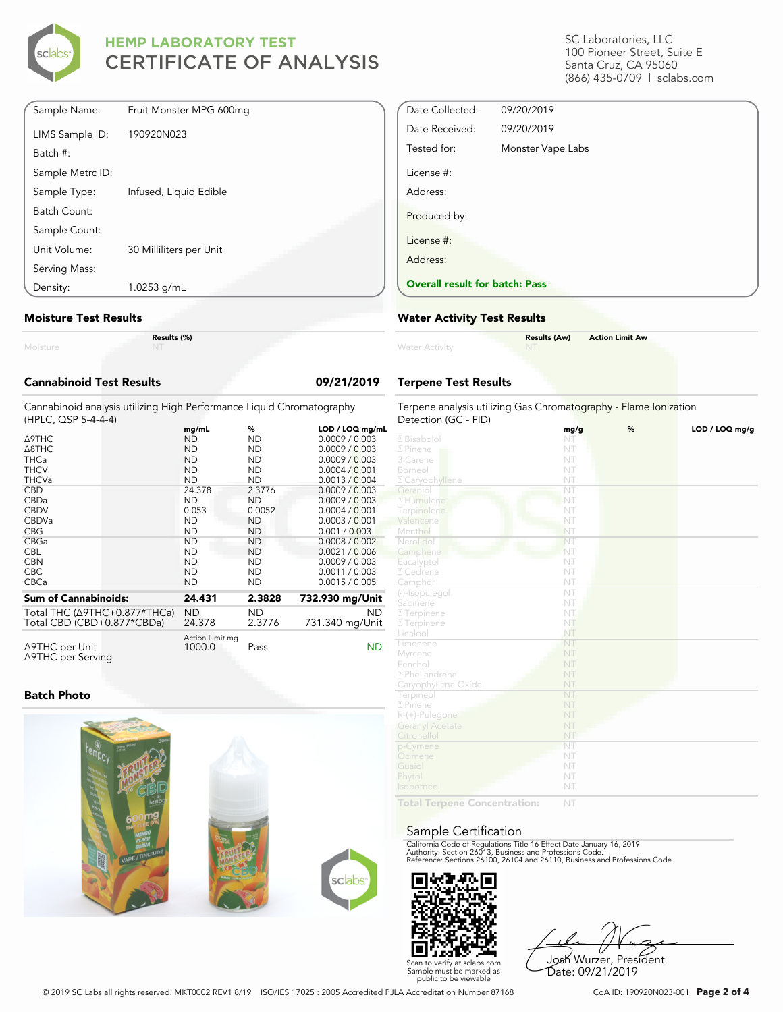

SC Laboratories, LLC 100 Pioneer Street, Suite E Santa Cruz, CA 95060 (866) 435-0709 | sclabs.com

| Sample Name:     | Fruit Monster MPG 600mg |
|------------------|-------------------------|
| LIMS Sample ID:  | 190920N023              |
| Batch #:         |                         |
| Sample Metrc ID: |                         |
| Sample Type:     | Infused, Liquid Edible  |
| Batch Count:     |                         |
| Sample Count:    |                         |
| Unit Volume:     | 30 Milliliters per Unit |
| Serving Mass:    |                         |
| Density:         | 1.0253 g/mL             |

#### **Moisture Test Results**

| . |  |  |  |  |
|---|--|--|--|--|

**Results (%)**

| <b>Cannabinoid Test Results</b>                                                                                                 |  |                                                                                                                                  |                                                                                                                               | 09/21/2019                                                                                                                                                                                         |  |
|---------------------------------------------------------------------------------------------------------------------------------|--|----------------------------------------------------------------------------------------------------------------------------------|-------------------------------------------------------------------------------------------------------------------------------|----------------------------------------------------------------------------------------------------------------------------------------------------------------------------------------------------|--|
| Cannabinoid analysis utilizing High Performance Liquid Chromatography<br>(HPLC, QSP 5-4-4-4)                                    |  |                                                                                                                                  |                                                                                                                               |                                                                                                                                                                                                    |  |
| <b>A9THC</b><br>A8THC<br><b>THCa</b><br><b>THCV</b><br><b>THCVa</b><br><b>CBD</b><br>CBDa<br><b>CBDV</b><br>CBDVa<br><b>CBG</b> |  | mg/mL<br><b>ND</b><br><b>ND</b><br><b>ND</b><br><b>ND</b><br><b>ND</b><br>24.378<br><b>ND</b><br>0.053<br><b>ND</b><br><b>ND</b> | %<br><b>ND</b><br><b>ND</b><br><b>ND</b><br><b>ND</b><br><b>ND</b><br>2.3776<br><b>ND</b><br>0.0052<br><b>ND</b><br><b>ND</b> | LOD / LOQ mg/mL<br>0.0009 / 0.003<br>0.0009 / 0.003<br>0.0009 / 0.003<br>0.0004 / 0.001<br>0.0013 / 0.004<br>0.0009 / 0.003<br>0.0009 / 0.003<br>0.0004 / 0.001<br>0.0003 / 0.001<br>0.001 / 0.003 |  |
| CBGa<br><b>CBL</b><br><b>CBN</b><br>CBC.<br>CBCa                                                                                |  | <b>ND</b><br><b>ND</b><br><b>ND</b><br><b>ND</b><br><b>ND</b>                                                                    | <b>ND</b><br><b>ND</b><br><b>ND</b><br><b>ND</b><br><b>ND</b>                                                                 | 0.0008 / 0.002<br>0.0021 / 0.006<br>0.0009 / 0.003<br>0.0011 / 0.003<br>0.0015 / 0.005                                                                                                             |  |
| <b>Sum of Cannabinoids:</b>                                                                                                     |  | 24.431                                                                                                                           | 2.3828                                                                                                                        | 732.930 mg/Unit                                                                                                                                                                                    |  |
| Total THC (∆9THC+0.877*THCa)<br>Total CBD (CBD+0.877*CBDa)                                                                      |  | <b>ND</b><br>24.378                                                                                                              | <b>ND</b><br>2.3776                                                                                                           | <b>ND</b><br>731.340 mg/Unit                                                                                                                                                                       |  |
| ∆9THC per Unit<br>∆9THC per Serving                                                                                             |  | Action Limit mg<br>1000.0                                                                                                        | Pass                                                                                                                          | <b>ND</b>                                                                                                                                                                                          |  |

### **Batch Photo**



| Date Collected:                       | 09/20/2019        |
|---------------------------------------|-------------------|
| Date Received:                        | 09/20/2019        |
| Tested for:                           | Monster Vape Labs |
| License #:                            |                   |
| Address:                              |                   |
| Produced by:                          |                   |
| License #:                            |                   |
| Address:                              |                   |
| <b>Overall result for batch: Pass</b> |                   |

### **Water Activity Test Results**

| <b>Water Activity</b> | <b>Results (Aw)</b><br><b>NT</b> | <b>Action Limit Aw</b> |  |
|-----------------------|----------------------------------|------------------------|--|
|                       |                                  |                        |  |

### **Terpene Test Results**

| Terpene analysis utilizing Gas Chromatography - Flame Ionization |                        |   |                |
|------------------------------------------------------------------|------------------------|---|----------------|
| Detection (GC - FID)                                             |                        |   |                |
|                                                                  | mg/g<br>NT             | % | LOD / LOQ mg/g |
| 2 Bisabolol                                                      | NT                     |   |                |
| 2 Pinene                                                         | NT                     |   |                |
| 3 Carene<br>Borneol                                              | NT                     |   |                |
|                                                                  |                        |   |                |
| <b>Z</b> Caryophyllene                                           | NT                     |   |                |
| Geraniol                                                         | NT                     |   |                |
| 2 Humulene                                                       | NT                     |   |                |
| Terpinolene                                                      | NT                     |   |                |
| Valencene                                                        | NT                     |   |                |
| Menthol                                                          | NT                     |   |                |
| Nerolidol                                                        | NT                     |   |                |
| Camphene                                                         | NT                     |   |                |
| Eucalyptol                                                       | NT                     |   |                |
| 2 Cedrene                                                        | NT                     |   |                |
| Camphor                                                          | NT                     |   |                |
| (-)-Isopulegol                                                   | $\overline{\text{NT}}$ |   |                |
| Sabinene                                                         | NT                     |   |                |
| <b>27</b> Terpinene                                              | NT.                    |   |                |
| <b>27</b> Terpinene                                              | NT                     |   |                |
| Linalool                                                         | NT                     |   |                |
| Limonene                                                         | NT                     |   |                |
| Myrcene                                                          | NT                     |   |                |
| Fenchol                                                          | NT                     |   |                |
| 2 Phellandrene                                                   | NT                     |   |                |
| Caryophyllene Oxide                                              | NT                     |   |                |
| Terpineol                                                        | NT                     |   |                |
| 2 Pinene                                                         | NT                     |   |                |
| $R-(+)$ -Pulegone                                                | NT                     |   |                |
| <b>Geranyl Acetate</b>                                           | NT                     |   |                |
| Citronellol                                                      | NT                     |   |                |
| p-Cymene                                                         | NT                     |   |                |
| Ocimene                                                          | NT                     |   |                |
| Guaiol                                                           | NT                     |   |                |
| Phytol                                                           | NT                     |   |                |
| Isoborneol                                                       | NT                     |   |                |
| Total Tormono<br>وورماناه ويرا                                   | NIT                    |   |                |

**Total Terpene Concentration:**

#### Sample Certification

California Code of Regulations Title 16 Effect Date January 16, 2019<br>Authority: Section 26013, Business and Professions Code.<br>Reference: Sections 26100, 26104 and 26110, Business and Professions Code.



Josh Wurzer, President Date: 09/21/2019

© 2019 SC Labs all rights reserved. MKT0002 REV1 8/19 ISO/IES 17025 : 2005 Accredited PJLA Accreditation Number 87168 CoA ID: 190920N023-001 **Page 2 of 4**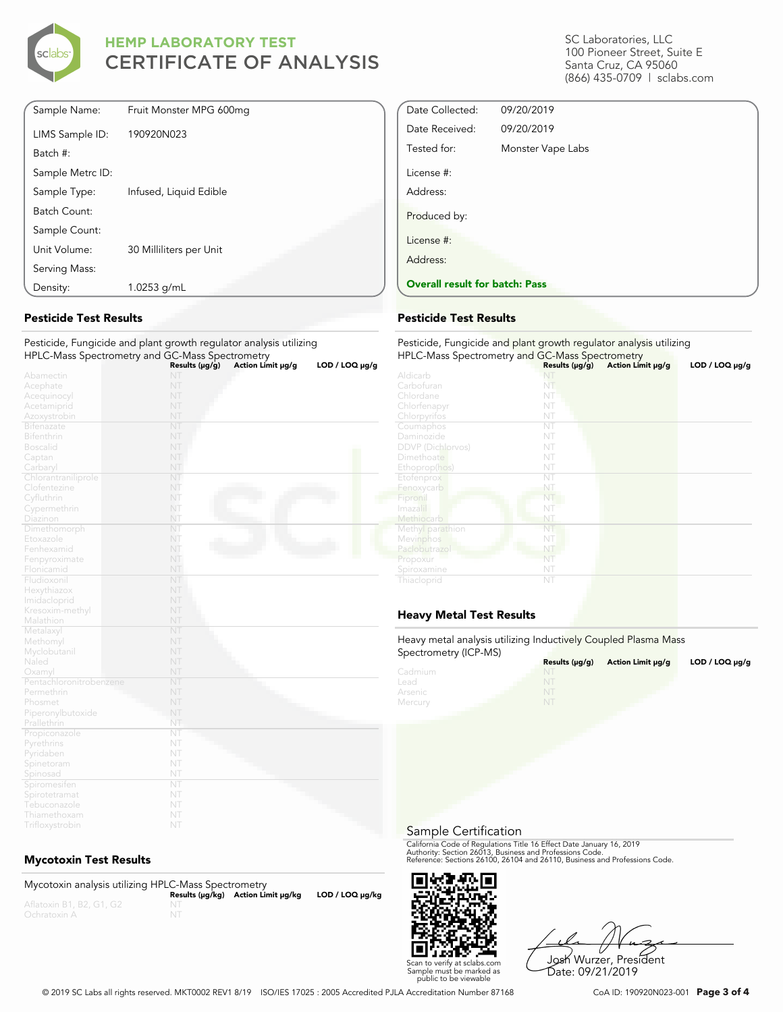

| Sample Name:     | Fruit Monster MPG 600mg |
|------------------|-------------------------|
| LIMS Sample ID:  | 190920N023              |
| Batch #:         |                         |
| Sample Metrc ID: |                         |
| Sample Type:     | Infused, Liquid Edible  |
| Batch Count:     |                         |
| Sample Count:    |                         |
| Unit Volume:     | 30 Milliliters per Unit |
| Serving Mass:    |                         |
| Density:         | 1.0253 g/mL             |
|                  |                         |

### **Pesticide Test Results**

#### Pesticide, Fungicide and plant growth regulator analysis utilizing HPLC-Mass Spectrometry and GC-Mass Spectrometry

|                         | Results ( $\mu$ g/g) | Action Limit µg/g | LOD / LOO µg/g |
|-------------------------|----------------------|-------------------|----------------|
| Abamectin               | NT                   |                   |                |
| Acephate                | NT                   |                   |                |
| Acequinocyl             | NT                   |                   |                |
| Acetamiprid             | NT                   |                   |                |
| Azoxystrobin            | NT                   |                   |                |
| Bifenazate              | NT                   |                   |                |
| Bifenthrin              | NT                   |                   |                |
| <b>Boscalid</b>         | NT                   |                   |                |
| Captan                  | NT                   |                   |                |
| Carbaryl                | NT                   |                   |                |
| Chlorantraniliprole     | NT                   |                   |                |
| Clofentezine            | NT                   |                   |                |
| Cyfluthrin              | NT                   |                   |                |
| Cypermethrin            | NT                   |                   |                |
| Diazinon                | NT                   |                   |                |
| Dimethomorph            | NT                   |                   |                |
| Etoxazole               | NT                   |                   |                |
| Fenhexamid              | NT                   |                   |                |
| Fenpyroximate           | NT                   |                   |                |
| Flonicamid              | NT                   |                   |                |
| Fludioxonil             | NT                   |                   |                |
| Hexythiazox             | NT                   |                   |                |
| Imidacloprid            | NT                   |                   |                |
| Kresoxim-methyl         | NT                   |                   |                |
| Malathion               | NT                   |                   |                |
| Metalaxyl               | NT                   |                   |                |
| Methomyl                | NT                   |                   |                |
| Myclobutanil            | NT                   |                   |                |
| Naled                   | NT                   |                   |                |
| Oxamyl                  | NT                   |                   |                |
| Pentachloronitrobenzene | NT                   |                   |                |
| Permethrin              | NT                   |                   |                |
| Phosmet                 | NT                   |                   |                |
| Piperonylbutoxide       | NT                   |                   |                |
| Prallethrin             | NT                   |                   |                |
| Propiconazole           | NT                   |                   |                |
| Pyrethrins              | NT                   |                   |                |
| Pyridaben               | NT                   |                   |                |
| Spinetoram              | NT                   |                   |                |
| Spinosad                | NT                   |                   |                |
| Spiromesifen            | NT                   |                   |                |
| Spirotetramat           | NT                   |                   |                |
| Tebuconazole            | NT                   |                   |                |
| Thiamethoxam            | NT                   |                   |                |

### **Mycotoxin Test Results**

| Mycotoxin analysis utilizing HPLC-Mass Spectrometry |    |                                    |                      |
|-----------------------------------------------------|----|------------------------------------|----------------------|
|                                                     |    | Results (µq/kq) Action Limit µq/kq | $LOD / LOQ \mu g/kg$ |
| Aflatoxin B1, B2, G1, G2                            |    |                                    |                      |
| Ochratoxin A                                        | NT |                                    |                      |

SC Laboratories, LLC 100 Pioneer Street, Suite E Santa Cruz, CA 95060 (866) 435-0709 | sclabs.com

| Date Collected:                       | 09/20/2019        |  |
|---------------------------------------|-------------------|--|
| Date Received:                        | 09/20/2019        |  |
| Tested for:                           | Monster Vape Labs |  |
| License #:                            |                   |  |
| Address:                              |                   |  |
| Produced by:                          |                   |  |
| License #:                            |                   |  |
| Address:                              |                   |  |
| <b>Overall result for batch: Pass</b> |                   |  |

#### **Pesticide Test Results**

| Pesticide, Fungicide and plant growth regulator analysis utilizing<br>HPLC-Mass Spectrometry and GC-Mass Spectrometry |                     |                   |                |
|-----------------------------------------------------------------------------------------------------------------------|---------------------|-------------------|----------------|
|                                                                                                                       | Results $(\mu g/g)$ | Action Limit µg/g | LOD / LOQ µg/g |
| Aldicarb                                                                                                              | NI                  |                   |                |
| Carbofuran                                                                                                            | NT                  |                   |                |
| Chlordane                                                                                                             | NT                  |                   |                |
| Chlorfenapyr                                                                                                          | NT                  |                   |                |
| Chlorpyrifos                                                                                                          | NT                  |                   |                |
| Coumaphos                                                                                                             | NT                  |                   |                |
| Daminozide                                                                                                            | NT                  |                   |                |
| <b>DDVP</b> (Dichlorvos)                                                                                              | NT                  |                   |                |
| Dimethoate                                                                                                            | NT                  |                   |                |
| Ethoprop(hos)                                                                                                         | NT                  |                   |                |
| Etofenprox                                                                                                            | NT                  |                   |                |
| Fenoxycarb                                                                                                            | NT                  |                   |                |
| Fipronil                                                                                                              | NT                  |                   |                |
| Imazalil                                                                                                              | NT                  |                   |                |
| Methiocarb                                                                                                            | NT                  |                   |                |
| Methyl parathion                                                                                                      | NT                  |                   |                |
| Mevinphos                                                                                                             | NT                  |                   |                |
| Paclobutrazol                                                                                                         | NT                  |                   |                |
| Propoxur                                                                                                              | NT                  |                   |                |
| Spiroxamine                                                                                                           | NT                  |                   |                |
| Thiacloprid                                                                                                           | NT                  |                   |                |

### **Heavy Metal Test Results**

Heavy metal analysis utilizing Inductively Coupled Plasma Mass Spectrometry (ICP-MS)

| $\frac{1}{2}$ | Results (µq/q) | Action Limit µg/g | $LOD / LOQ \mu g/g$ |
|---------------|----------------|-------------------|---------------------|
| Cadmium       | NT             |                   |                     |
| Lead          |                |                   |                     |
| Arsenic       | NT             |                   |                     |
| Mercury       | NT             |                   |                     |

#### Sample Certification

California Code of Regulations Title 16 Effect Date January 16, 2019<br>Authority: Section 26013, Business and Professions Code.<br>Reference: Sections 26100, 26104 and 26110, Business and Professions Code.



Josh Wurzer, President Date: 09/21/2019

© 2019 SC Labs all rights reserved. MKT0002 REV1 8/19 ISO/IES 17025 : 2005 Accredited PJLA Accreditation Number 87168 CoA ID: 190920N023-001 **Page 3 of 4**